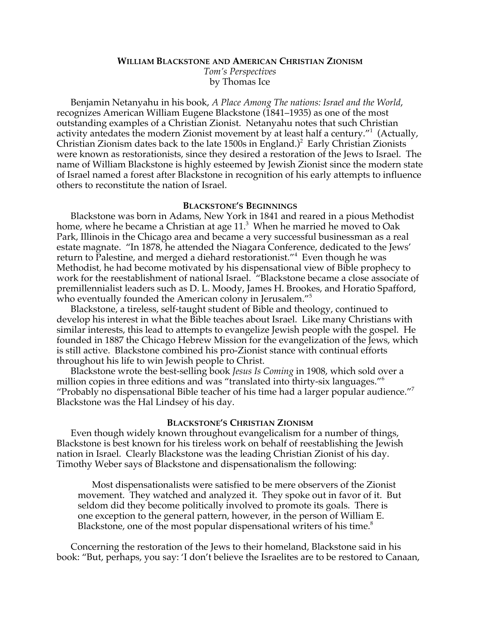# **WILLIAM BLACKSTONE AND AMERICAN CHRISTIAN ZIONISM** *Tom's Perspectives* by Thomas Ice

Benjamin Netanyahu in his book, *A Place Among The nations: Israel and the World*, recognizes American William Eugene Blackstone (1841–1935) as one of the most outstanding examples of a Christian Zionist. Netanyahu notes that such Christian activity antedates the modern Zionist movement by at least half a century."1 (Actually, Christian Zionism dates back to the late 1500s in England.)<sup>2</sup> Early Christian Zionists were known as restorationists, since they desired a restoration of the Jews to Israel. The name of William Blackstone is highly esteemed by Jewish Zionist since the modern state of Israel named a forest after Blackstone in recognition of his early attempts to influence others to reconstitute the nation of Israel.

## **BLACKSTONE'S BEGINNINGS**

Blackstone was born in Adams, New York in 1841 and reared in a pious Methodist home, where he became a Christian at age  $11.^3$  When he married he moved to Oak Park, Illinois in the Chicago area and became a very successful businessman as a real estate magnate. "In 1878, he attended the Niagara Conference, dedicated to the Jews' return to Palestine, and merged a diehard restorationist."<sup>4</sup> Even though he was Methodist, he had become motivated by his dispensational view of Bible prophecy to work for the reestablishment of national Israel. "Blackstone became a close associate of premillennialist leaders such as D. L. Moody, James H. Brookes, and Horatio Spafford, who eventually founded the American colony in Jerusalem."<sup>5</sup>

Blackstone, a tireless, self-taught student of Bible and theology, continued to develop his interest in what the Bible teaches about Israel. Like many Christians with similar interests, this lead to attempts to evangelize Jewish people with the gospel. He founded in 1887 the Chicago Hebrew Mission for the evangelization of the Jews, which is still active. Blackstone combined his pro-Zionist stance with continual efforts throughout his life to win Jewish people to Christ.

Blackstone wrote the best-selling book *Jesus Is Coming* in 1908, which sold over a million copies in three editions and was "translated into thirty-six languages."<sup>6</sup> "Probably no dispensational Bible teacher of his time had a larger popular audience."<sup>7</sup> Blackstone was the Hal Lindsey of his day.

# **BLACKSTONE'S CHRISTIAN ZIONISM**

Even though widely known throughout evangelicalism for a number of things, Blackstone is best known for his tireless work on behalf of reestablishing the Jewish nation in Israel. Clearly Blackstone was the leading Christian Zionist of his day. Timothy Weber says of Blackstone and dispensationalism the following:

Most dispensationalists were satisfied to be mere observers of the Zionist movement. They watched and analyzed it. They spoke out in favor of it. But seldom did they become politically involved to promote its goals. There is one exception to the general pattern, however, in the person of William E. Blackstone, one of the most popular dispensational writers of his time.<sup>8</sup>

Concerning the restoration of the Jews to their homeland, Blackstone said in his book: "But, perhaps, you say: 'I don't believe the Israelites are to be restored to Canaan,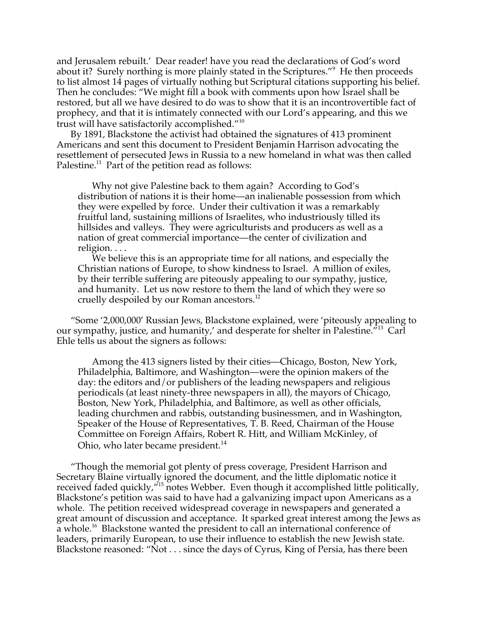and Jerusalem rebuilt.' Dear reader! have you read the declarations of God's word about it? Surely northing is more plainly stated in the Scriptures."<sup>9</sup> He then proceeds to list almost 14 pages of virtually nothing but Scriptural citations supporting his belief. Then he concludes: "We might fill a book with comments upon how Israel shall be restored, but all we have desired to do was to show that it is an incontrovertible fact of prophecy, and that it is intimately connected with our Lord's appearing, and this we trust will have satisfactorily accomplished."<sup>10</sup>

By 1891, Blackstone the activist had obtained the signatures of 413 prominent Americans and sent this document to President Benjamin Harrison advocating the resettlement of persecuted Jews in Russia to a new homeland in what was then called Palestine.<sup>11</sup> Part of the petition read as follows:

Why not give Palestine back to them again? According to God's distribution of nations it is their home—an inalienable possession from which they were expelled by force. Under their cultivation it was a remarkably fruitful land, sustaining millions of Israelites, who industriously tilled its hillsides and valleys. They were agriculturists and producers as well as a nation of great commercial importance—the center of civilization and religion. . . .

We believe this is an appropriate time for all nations, and especially the Christian nations of Europe, to show kindness to Israel. A million of exiles, by their terrible suffering are piteously appealing to our sympathy, justice, and humanity. Let us now restore to them the land of which they were so cruelly despoiled by our Roman ancestors.<sup>12</sup>

"Some '2,000,000' Russian Jews, Blackstone explained, were 'piteously appealing to our sympathy, justice, and humanity,' and desperate for shelter in Palestine.<sup>713</sup> Carl Ehle tells us about the signers as follows:

Among the 413 signers listed by their cities—Chicago, Boston, New York, Philadelphia, Baltimore, and Washington—were the opinion makers of the day: the editors and/or publishers of the leading newspapers and religious periodicals (at least ninety-three newspapers in all), the mayors of Chicago, Boston, New York, Philadelphia, and Baltimore, as well as other officials, leading churchmen and rabbis, outstanding businessmen, and in Washington, Speaker of the House of Representatives, T. B. Reed, Chairman of the House Committee on Foreign Affairs, Robert R. Hitt, and William McKinley, of Ohio, who later became president.<sup>14</sup>

"Though the memorial got plenty of press coverage, President Harrison and Secretary Blaine virtually ignored the document, and the little diplomatic notice it received faded quickly,"<sup>15</sup> notes Webber. Even though it accomplished little politically, Blackstone's petition was said to have had a galvanizing impact upon Americans as a whole. The petition received widespread coverage in newspapers and generated a great amount of discussion and acceptance. It sparked great interest among the Jews as a whole.<sup>16</sup> Blackstone wanted the president to call an international conference of leaders, primarily European, to use their influence to establish the new Jewish state. Blackstone reasoned: "Not . . . since the days of Cyrus, King of Persia, has there been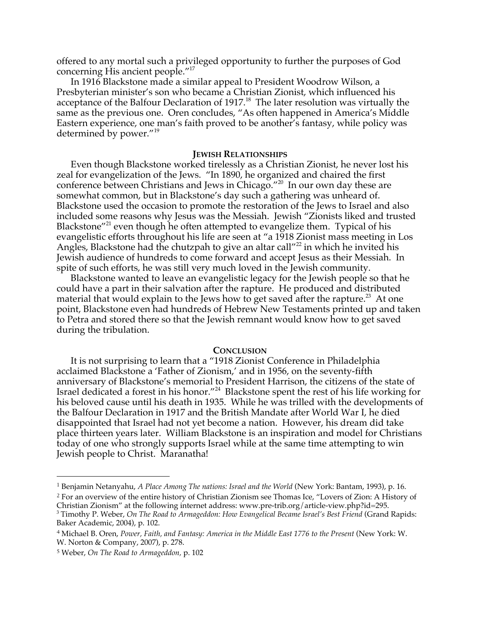offered to any mortal such a privileged opportunity to further the purposes of God concerning His ancient people."<sup>17</sup>

In 1916 Blackstone made a similar appeal to President Woodrow Wilson, a Presbyterian minister's son who became a Christian Zionist, which influenced his acceptance of the Balfour Declaration of  $1917.^{18}$  The later resolution was virtually the same as the previous one. Oren concludes, "As often happened in America's Middle Eastern experience, one man's faith proved to be another's fantasy, while policy was determined by power."<sup>19</sup>

# **JEWISH RELATIONSHIPS**

Even though Blackstone worked tirelessly as a Christian Zionist, he never lost his zeal for evangelization of the Jews. "In 1890, he organized and chaired the first conference between Christians and Jews in Chicago."<sup>20</sup> In our own day these are somewhat common, but in Blackstone's day such a gathering was unheard of. Blackstone used the occasion to promote the restoration of the Jews to Israel and also included some reasons why Jesus was the Messiah. Jewish "Zionists liked and trusted Blackstone"<sup>21</sup> even though he often attempted to evangelize them. Typical of his evangelistic efforts throughout his life are seen at "a 1918 Zionist mass meeting in Los Angles, Blackstone had the chutzpah to give an altar call"<sup>22</sup> in which he invited his Jewish audience of hundreds to come forward and accept Jesus as their Messiah. In spite of such efforts, he was still very much loved in the Jewish community.

Blackstone wanted to leave an evangelistic legacy for the Jewish people so that he could have a part in their salvation after the rapture. He produced and distributed material that would explain to the Jews how to get saved after the rapture. $^{23}$  At one point, Blackstone even had hundreds of Hebrew New Testaments printed up and taken to Petra and stored there so that the Jewish remnant would know how to get saved during the tribulation.

#### **CONCLUSION**

It is not surprising to learn that a "1918 Zionist Conference in Philadelphia acclaimed Blackstone a 'Father of Zionism,' and in 1956, on the seventy-fifth anniversary of Blackstone's memorial to President Harrison, the citizens of the state of Israel dedicated a forest in his honor."<sup>24</sup> Blackstone spent the rest of his life working for his beloved cause until his death in 1935. While he was trilled with the developments of the Balfour Declaration in 1917 and the British Mandate after World War I, he died disappointed that Israel had not yet become a nation. However, his dream did take place thirteen years later. William Blackstone is an inspiration and model for Christians today of one who strongly supports Israel while at the same time attempting to win Jewish people to Christ. Maranatha!

<u>.</u>

<sup>1</sup> Benjamin Netanyahu, *A Place Among The nations: Israel and the World* (New York: Bantam, 1993), p. 16.

<sup>2</sup> For an overview of the entire history of Christian Zionism see Thomas Ice, "Lovers of Zion: A History of Christian Zionism" at the following internet address: www.pre-trib.org/article-view.php?id=295.

<sup>3</sup> Timothy P. Weber, *On The Road to Armageddon: How Evangelical Became Israel's Best Friend* (Grand Rapids: Baker Academic, 2004), p. 102.

<sup>4</sup> Michael B. Oren, *Power, Faith, and Fantasy: America in the Middle East 1776 to the Present* (New York: W. W. Norton & Company, 2007), p. 278.

<sup>5</sup> Weber, *On The Road to Armageddon,* p. 102